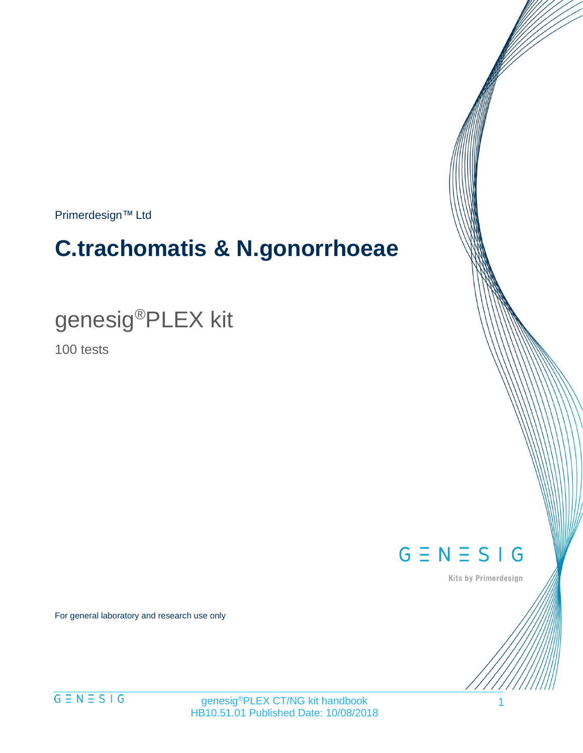Primerdesign™ Ltd

# **C.trachomatis & N.gonorrhoeae**

genesig®PLEX kit

100 tests

 $G \equiv N \equiv S \mid G$ 

Kits by Primerdesign

For general laboratory and research use only

genesig®PLEX CT/NG kit handbook HB10.51.01 Published Date: 10/08/2018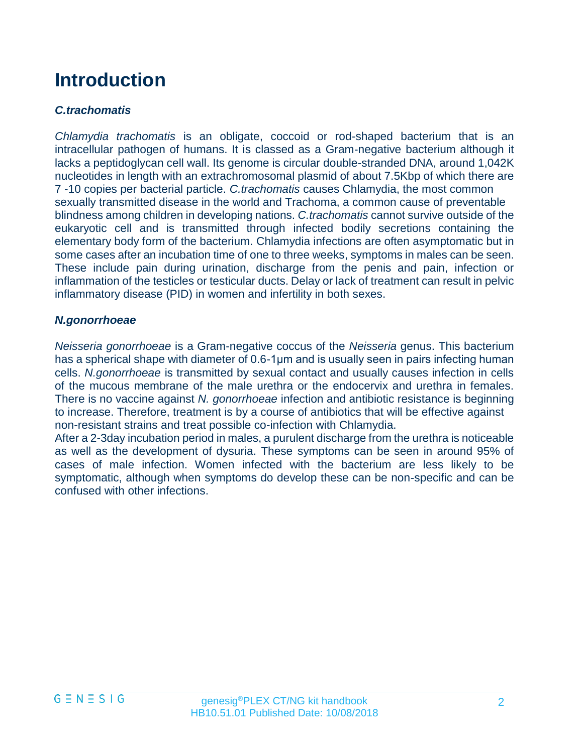## **Introduction**

#### *C.trachomatis*

*Chlamydia trachomatis* is an obligate, coccoid or rod-shaped bacterium that is an intracellular pathogen of humans. It is classed as a Gram-negative bacterium although it lacks a peptidoglycan cell wall. Its genome is circular double-stranded DNA, around 1,042K nucleotides in length with an extrachromosomal plasmid of about 7.5Kbp of which there are 7 -10 copies per bacterial particle. *C.trachomatis* causes Chlamydia, the most common sexually transmitted disease in the world and Trachoma, a common cause of preventable blindness among children in developing nations. *C.trachomatis* cannot survive outside of the eukaryotic cell and is transmitted through infected bodily secretions containing the elementary body form of the bacterium. Chlamydia infections are often asymptomatic but in some cases after an incubation time of one to three weeks, symptoms in males can be seen. These include pain during urination, discharge from the penis and pain, infection or inflammation of the testicles or testicular ducts. Delay or lack of treatment can result in pelvic inflammatory disease (PID) in women and infertility in both sexes.

#### *N.gonorrhoeae*

*Neisseria gonorrhoeae* is a Gram-negative coccus of the *Neisseria* genus. This bacterium has a spherical shape with diameter of 0.6-1μm and is usually seen in pairs infecting human cells. *N.gonorrhoeae* is transmitted by sexual contact and usually causes infection in cells of the mucous membrane of the male urethra or the endocervix and urethra in females. There is no vaccine against *N. gonorrhoeae* infection and antibiotic resistance is beginning to increase. Therefore, treatment is by a course of antibiotics that will be effective against non-resistant strains and treat possible co-infection with Chlamydia.

After a 2-3day incubation period in males, a purulent discharge from the urethra is noticeable as well as the development of dysuria. These symptoms can be seen in around 95% of cases of male infection. Women infected with the bacterium are less likely to be symptomatic, although when symptoms do develop these can be non-specific and can be confused with other infections.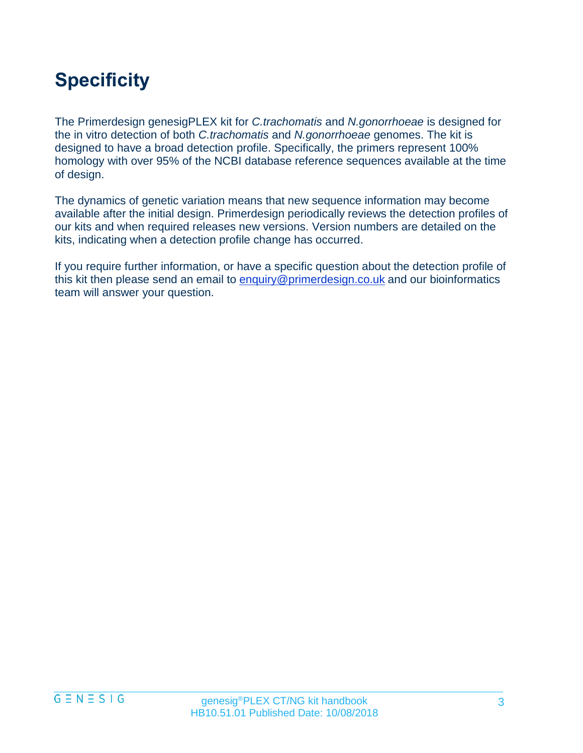## **Specificity**

The Primerdesign genesigPLEX kit for *C.trachomatis* and *N.gonorrhoeae* is designed for the in vitro detection of both *C.trachomatis* and *N.gonorrhoeae* genomes. The kit is designed to have a broad detection profile. Specifically, the primers represent 100% homology with over 95% of the NCBI database reference sequences available at the time of design.

The dynamics of genetic variation means that new sequence information may become available after the initial design. Primerdesign periodically reviews the detection profiles of our kits and when required releases new versions. Version numbers are detailed on the kits, indicating when a detection profile change has occurred.

If you require further information, or have a specific question about the detection profile of this kit then please send an email to [enquiry@primerdesign.co.uk](mailto:enquiry@primerdesign.co.uk) and our bioinformatics team will answer your question.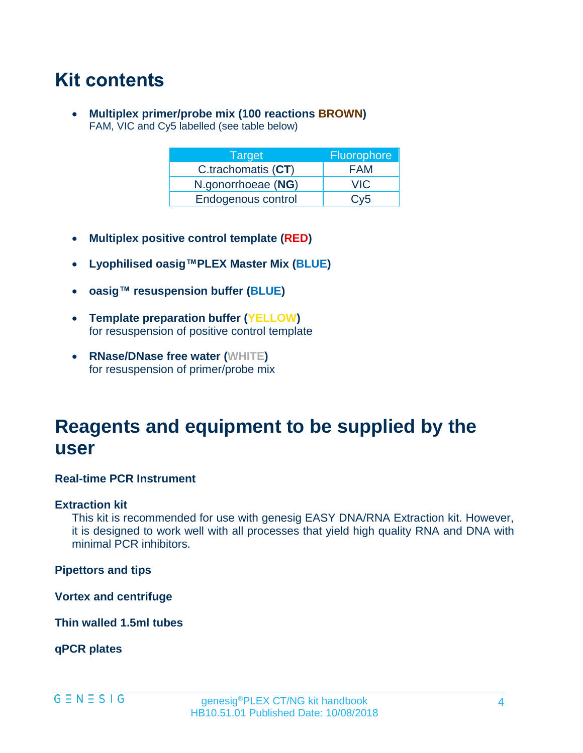## **Kit contents**

• **Multiplex primer/probe mix (100 reactions BROWN)** FAM, VIC and Cy5 labelled (see table below)

| Target             | Fluorophore |
|--------------------|-------------|
| C.trachomatis (CT) | <b>FAM</b>  |
| N.gonorrhoeae (NG) | <b>VIC</b>  |
| Endogenous control | Cv5         |

- **Multiplex positive control template (RED)**
- **Lyophilised oasig™PLEX Master Mix (BLUE)**
- **oasig™ resuspension buffer (BLUE)**
- **Template preparation buffer (YELLOW)** for resuspension of positive control template
- **RNase/DNase free water (WHITE)** for resuspension of primer/probe mix

## **Reagents and equipment to be supplied by the user**

#### **Real-time PCR Instrument**

#### **Extraction kit**

This kit is recommended for use with genesig EASY DNA/RNA Extraction kit. However, it is designed to work well with all processes that yield high quality RNA and DNA with minimal PCR inhibitors.

**Pipettors and tips**

**Vortex and centrifuge**

**Thin walled 1.5ml tubes**

**qPCR plates**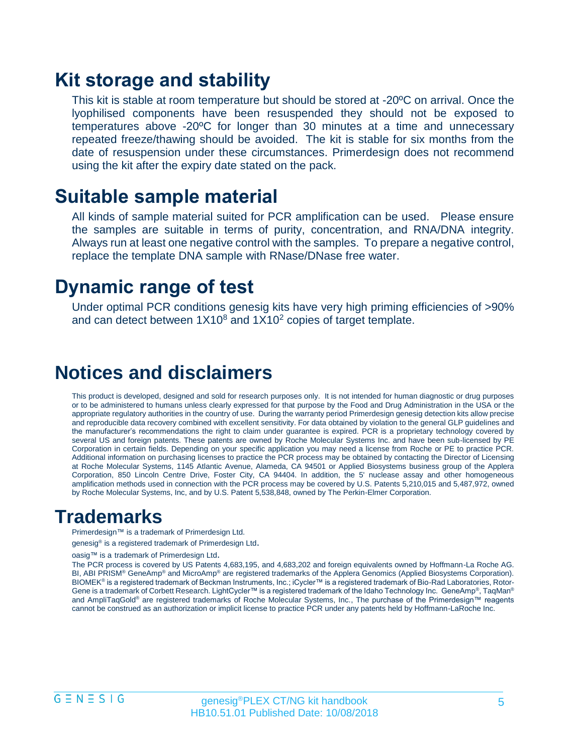### **Kit storage and stability**

This kit is stable at room temperature but should be stored at -20ºC on arrival. Once the lyophilised components have been resuspended they should not be exposed to temperatures above -20ºC for longer than 30 minutes at a time and unnecessary repeated freeze/thawing should be avoided. The kit is stable for six months from the date of resuspension under these circumstances. Primerdesign does not recommend using the kit after the expiry date stated on the pack.

### **Suitable sample material**

All kinds of sample material suited for PCR amplification can be used. Please ensure the samples are suitable in terms of purity, concentration, and RNA/DNA integrity. Always run at least one negative control with the samples. To prepare a negative control, replace the template DNA sample with RNase/DNase free water.

### **Dynamic range of test**

Under optimal PCR conditions genesig kits have very high priming efficiencies of >90% and can detect between  $1X10<sup>8</sup>$  and  $1X10<sup>2</sup>$  copies of target template.

### **Notices and disclaimers**

This product is developed, designed and sold for research purposes only. It is not intended for human diagnostic or drug purposes or to be administered to humans unless clearly expressed for that purpose by the Food and Drug Administration in the USA or the appropriate regulatory authorities in the country of use. During the warranty period Primerdesign genesig detection kits allow precise and reproducible data recovery combined with excellent sensitivity. For data obtained by violation to the general GLP guidelines and the manufacturer's recommendations the right to claim under guarantee is expired. PCR is a proprietary technology covered by several US and foreign patents. These patents are owned by Roche Molecular Systems Inc. and have been sub-licensed by PE Corporation in certain fields. Depending on your specific application you may need a license from Roche or PE to practice PCR. Additional information on purchasing licenses to practice the PCR process may be obtained by contacting the Director of Licensing at Roche Molecular Systems, 1145 Atlantic Avenue, Alameda, CA 94501 or Applied Biosystems business group of the Applera Corporation, 850 Lincoln Centre Drive, Foster City, CA 94404. In addition, the 5' nuclease assay and other homogeneous amplification methods used in connection with the PCR process may be covered by U.S. Patents 5,210,015 and 5,487,972, owned by Roche Molecular Systems, Inc, and by U.S. Patent 5,538,848, owned by The Perkin-Elmer Corporation.

### **Trademarks**

Primerdesign™ is a trademark of Primerdesign Ltd.

genesig<sup>®</sup> is a registered trademark of Primerdesign Ltd.

oasig™ is a trademark of Primerdesign Ltd.

The PCR process is covered by US Patents 4,683,195, and 4,683,202 and foreign equivalents owned by Hoffmann-La Roche AG. BI, ABI PRISM® GeneAmp® and MicroAmp® are registered trademarks of the Applera Genomics (Applied Biosystems Corporation). BIOMEK® is a registered trademark of Beckman Instruments, Inc.; iCycler™ is a registered trademark of Bio-Rad Laboratories, Rotor-Gene is a trademark of Corbett Research. LightCycler™ is a registered trademark of the Idaho Technology Inc. GeneAmp®, TaqMan® and AmpliTaqGold<sup>®</sup> are registered trademarks of Roche Molecular Systems, Inc., The purchase of the Primerdesign™ reagents cannot be construed as an authorization or implicit license to practice PCR under any patents held by Hoffmann-LaRoche Inc.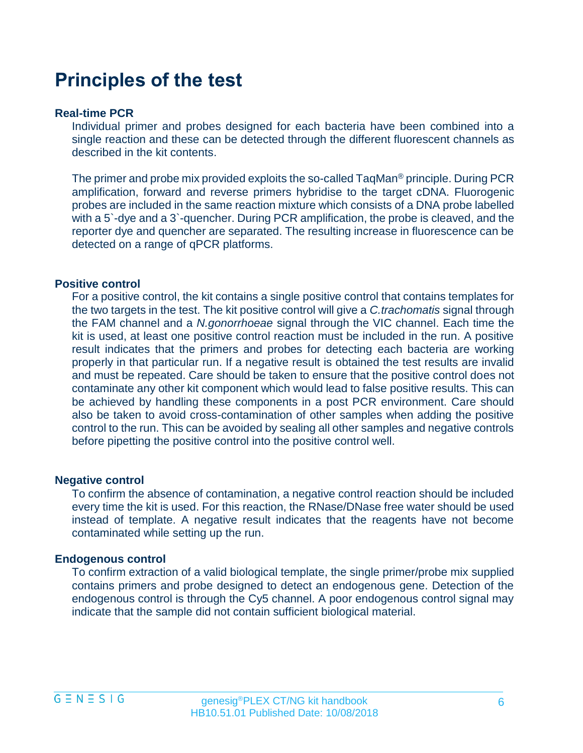### **Principles of the test**

#### **Real-time PCR**

Individual primer and probes designed for each bacteria have been combined into a single reaction and these can be detected through the different fluorescent channels as described in the kit contents.

The primer and probe mix provided exploits the so-called TaqMan® principle. During PCR amplification, forward and reverse primers hybridise to the target cDNA. Fluorogenic probes are included in the same reaction mixture which consists of a DNA probe labelled with a 5`-dye and a 3`-quencher. During PCR amplification, the probe is cleaved, and the reporter dye and quencher are separated. The resulting increase in fluorescence can be detected on a range of qPCR platforms.

#### **Positive control**

For a positive control, the kit contains a single positive control that contains templates for the two targets in the test. The kit positive control will give a *C.trachomatis* signal through the FAM channel and a *N.gonorrhoeae* signal through the VIC channel. Each time the kit is used, at least one positive control reaction must be included in the run. A positive result indicates that the primers and probes for detecting each bacteria are working properly in that particular run. If a negative result is obtained the test results are invalid and must be repeated. Care should be taken to ensure that the positive control does not contaminate any other kit component which would lead to false positive results. This can be achieved by handling these components in a post PCR environment. Care should also be taken to avoid cross-contamination of other samples when adding the positive control to the run. This can be avoided by sealing all other samples and negative controls before pipetting the positive control into the positive control well.

#### **Negative control**

To confirm the absence of contamination, a negative control reaction should be included every time the kit is used. For this reaction, the RNase/DNase free water should be used instead of template. A negative result indicates that the reagents have not become contaminated while setting up the run.

#### **Endogenous control**

To confirm extraction of a valid biological template, the single primer/probe mix supplied contains primers and probe designed to detect an endogenous gene. Detection of the endogenous control is through the Cy5 channel. A poor endogenous control signal may indicate that the sample did not contain sufficient biological material.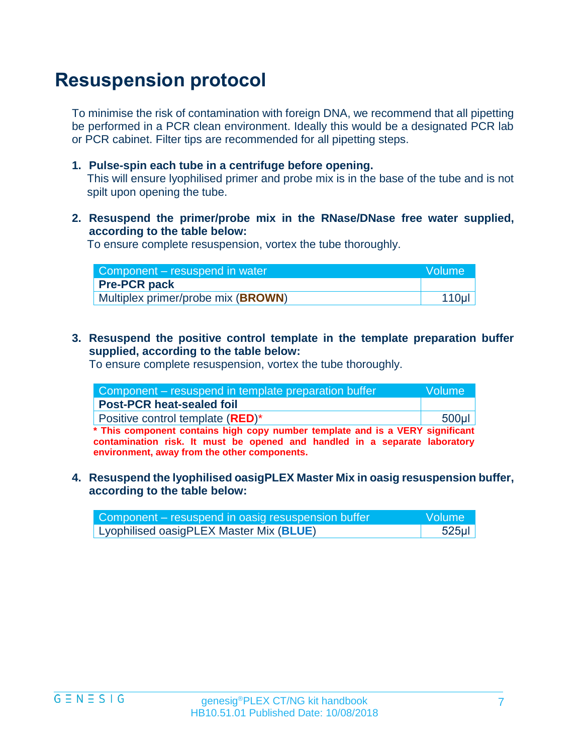## **Resuspension protocol**

To minimise the risk of contamination with foreign DNA, we recommend that all pipetting be performed in a PCR clean environment. Ideally this would be a designated PCR lab or PCR cabinet. Filter tips are recommended for all pipetting steps.

**1. Pulse-spin each tube in a centrifuge before opening.**

This will ensure lyophilised primer and probe mix is in the base of the tube and is not spilt upon opening the tube.

**2. Resuspend the primer/probe mix in the RNase/DNase free water supplied, according to the table below:** 

To ensure complete resuspension, vortex the tube thoroughly.

| Component – resuspend in water              | Wolume <sup>1</sup> |
|---------------------------------------------|---------------------|
| <b>Pre-PCR pack</b>                         |                     |
| Multiplex primer/probe mix ( <b>BROWN</b> ) | 110 <sub>µ</sub>    |

**3. Resuspend the positive control template in the template preparation buffer supplied, according to the table below:**

To ensure complete resuspension, vortex the tube thoroughly.

| Component – resuspend in template preparation buffer                          | lVolume l |
|-------------------------------------------------------------------------------|-----------|
| <b>Post-PCR heat-sealed foil</b>                                              |           |
| Positive control template (RED)*                                              | $500$ µl  |
| * This component contains high copy number template and is a VERY significant |           |

**contamination risk. It must be opened and handled in a separate laboratory environment, away from the other components.**

**4. Resuspend the lyophilised oasigPLEX Master Mix in oasig resuspension buffer, according to the table below:**

| Component – resuspend in oasig resuspension buffer | <b>Nolume</b> |
|----------------------------------------------------|---------------|
| Lyophilised oasigPLEX Master Mix (BLUE)            | $525$ µl      |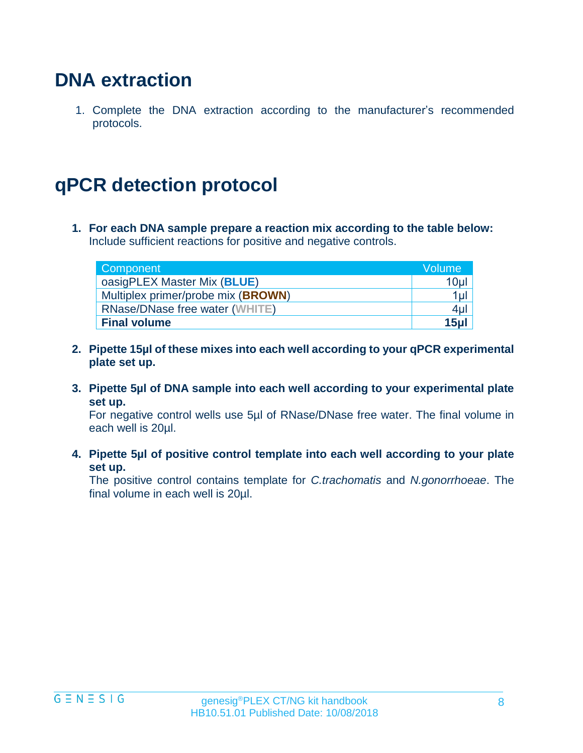### **DNA extraction**

1. Complete the DNA extraction according to the manufacturer's recommended protocols.

## **qPCR detection protocol**

**1. For each DNA sample prepare a reaction mix according to the table below:**  Include sufficient reactions for positive and negative controls.

| Component                          | <b>Volume</b> |
|------------------------------------|---------------|
| oasigPLEX Master Mix (BLUE)        | 10µl          |
| Multiplex primer/probe mix (BROWN) | $1$ ul        |
| RNase/DNase free water (WHITE)     | $4 \mu$       |
| <b>Final volume</b>                | 15ul          |

- **2. Pipette 15µl of these mixes into each well according to your qPCR experimental plate set up.**
- **3. Pipette 5µl of DNA sample into each well according to your experimental plate set up.**

For negative control wells use 5µl of RNase/DNase free water. The final volume in each well is 20µl.

**4. Pipette 5µl of positive control template into each well according to your plate set up.**

The positive control contains template for *C.trachomatis* and *N.gonorrhoeae*. The final volume in each well is 20µl.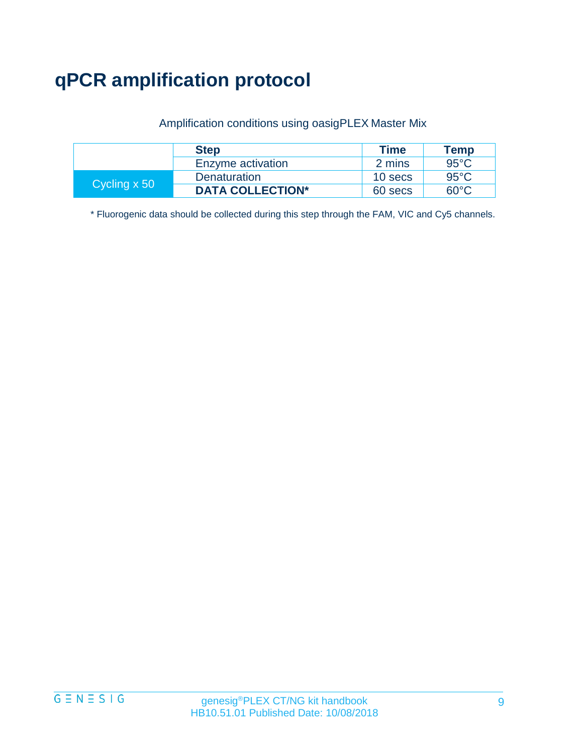## **qPCR amplification protocol**

#### Amplification conditions using oasigPLEX Master Mix

|              | <b>Step</b>             | <b>Time</b> | Temp           |
|--------------|-------------------------|-------------|----------------|
|              | Enzyme activation       | 2 mins      | $95^{\circ}$ C |
| Cycling x 50 | Denaturation            | 10 secs     | $95^{\circ}$ C |
|              | <b>DATA COLLECTION*</b> | 60 secs     | 60°C.          |

\* Fluorogenic data should be collected during this step through the FAM, VIC and Cy5 channels.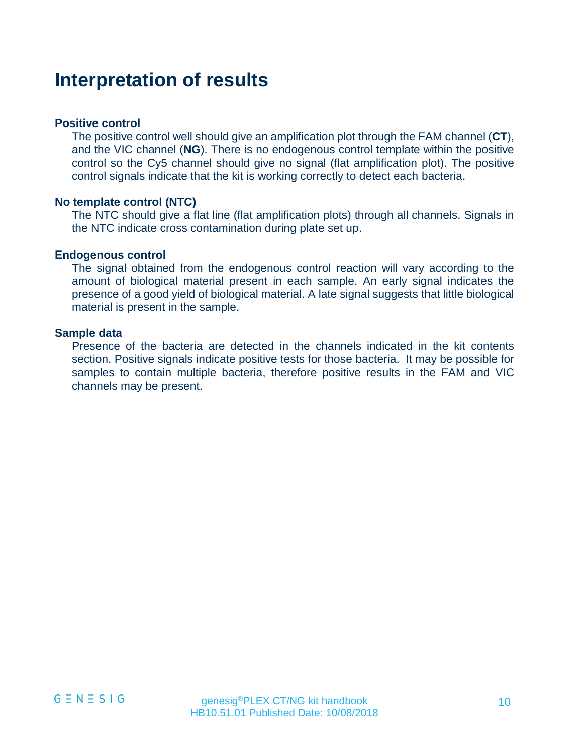### **Interpretation of results**

#### **Positive control**

The positive control well should give an amplification plot through the FAM channel (**CT**), and the VIC channel (**NG**). There is no endogenous control template within the positive control so the Cy5 channel should give no signal (flat amplification plot). The positive control signals indicate that the kit is working correctly to detect each bacteria.

#### **No template control (NTC)**

The NTC should give a flat line (flat amplification plots) through all channels. Signals in the NTC indicate cross contamination during plate set up.

#### **Endogenous control**

The signal obtained from the endogenous control reaction will vary according to the amount of biological material present in each sample. An early signal indicates the presence of a good yield of biological material. A late signal suggests that little biological material is present in the sample.

#### **Sample data**

Presence of the bacteria are detected in the channels indicated in the kit contents section. Positive signals indicate positive tests for those bacteria. It may be possible for samples to contain multiple bacteria, therefore positive results in the FAM and VIC channels may be present.